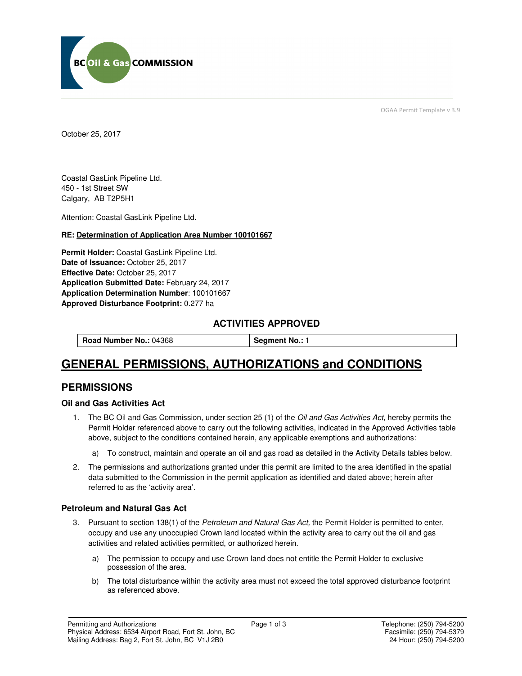

OGAA Permit Template v 3.9

October 25, 2017

Coastal GasLink Pipeline Ltd. 450 - 1st Street SW Calgary, AB T2P5H1

Attention: Coastal GasLink Pipeline Ltd.

#### **RE: Determination of Application Area Number 100101667**

**Permit Holder:** Coastal GasLink Pipeline Ltd. Date of Issuance: October 25, 2017 **Effective Date:** October 25, 2017 **Application Submitted Date:** February 24, 2017 **Application Determination Number**: 100101667 **Approved Disturbance Footprint:** 0.277 ha

### **ACTIVITIES APPROVED**

**Road Number No.: 04368 | Segment No.: 1** 

# **GENERAL PERMISSIONS, AUTHORIZATIONS and CONDITIONS**

## **PERMISSIONS**

#### **Oil and Gas Activities Act**

- 1. The BC Oil and Gas Commission, under section 25 (1) of the Oil and Gas Activities Act, hereby permits the Permit Holder referenced above to carry out the following activities, indicated in the Approved Activities table above, subject to the conditions contained herein, any applicable exemptions and authorizations:
	- a) To construct, maintain and operate an oil and gas road as detailed in the Activity Details tables below.
- 2. The permissions and authorizations granted under this permit are limited to the area identified in the spatial data submitted to the Commission in the permit application as identified and dated above; herein after referred to as the 'activity area'.

#### **Petroleum and Natural Gas Act**

- 3. Pursuant to section 138(1) of the Petroleum and Natural Gas Act, the Permit Holder is permitted to enter, occupy and use any unoccupied Crown land located within the activity area to carry out the oil and gas activities and related activities permitted, or authorized herein.
	- a) The permission to occupy and use Crown land does not entitle the Permit Holder to exclusive possession of the area.
	- b) The total disturbance within the activity area must not exceed the total approved disturbance footprint as referenced above.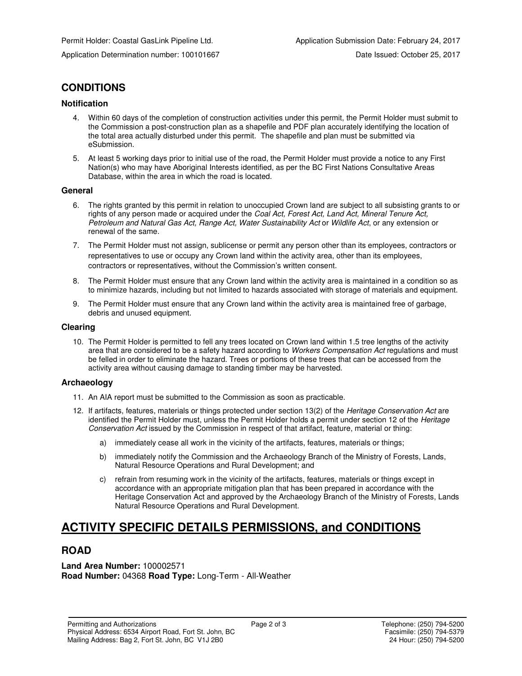# **CONDITIONS**

#### **Notification**

- 4. Within 60 days of the completion of construction activities under this permit, the Permit Holder must submit to the Commission a post-construction plan as a shapefile and PDF plan accurately identifying the location of the total area actually disturbed under this permit. The shapefile and plan must be submitted via eSubmission.
- 5. At least 5 working days prior to initial use of the road, the Permit Holder must provide a notice to any First Nation(s) who may have Aboriginal Interests identified, as per the BC First Nations Consultative Areas Database, within the area in which the road is located.

#### **General**

- 6. The rights granted by this permit in relation to unoccupied Crown land are subject to all subsisting grants to or rights of any person made or acquired under the Coal Act, Forest Act, Land Act, Mineral Tenure Act, Petroleum and Natural Gas Act, Range Act, Water Sustainability Act or Wildlife Act, or any extension or renewal of the same.
- 7. The Permit Holder must not assign, sublicense or permit any person other than its employees, contractors or representatives to use or occupy any Crown land within the activity area, other than its employees, contractors or representatives, without the Commission's written consent.
- 8. The Permit Holder must ensure that any Crown land within the activity area is maintained in a condition so as to minimize hazards, including but not limited to hazards associated with storage of materials and equipment.
- 9. The Permit Holder must ensure that any Crown land within the activity area is maintained free of garbage, debris and unused equipment.

#### **Clearing**

10. The Permit Holder is permitted to fell any trees located on Crown land within 1.5 tree lengths of the activity area that are considered to be a safety hazard according to Workers Compensation Act regulations and must be felled in order to eliminate the hazard. Trees or portions of these trees that can be accessed from the activity area without causing damage to standing timber may be harvested.

#### **Archaeology**

- 11. An AIA report must be submitted to the Commission as soon as practicable.
- 12. If artifacts, features, materials or things protected under section 13(2) of the Heritage Conservation Act are identified the Permit Holder must, unless the Permit Holder holds a permit under section 12 of the Heritage Conservation Act issued by the Commission in respect of that artifact, feature, material or thing:
	- a) immediately cease all work in the vicinity of the artifacts, features, materials or things;
	- b) immediately notify the Commission and the Archaeology Branch of the Ministry of Forests, Lands, Natural Resource Operations and Rural Development; and
	- c) refrain from resuming work in the vicinity of the artifacts, features, materials or things except in accordance with an appropriate mitigation plan that has been prepared in accordance with the Heritage Conservation Act and approved by the Archaeology Branch of the Ministry of Forests, Lands Natural Resource Operations and Rural Development.

# **ACTIVITY SPECIFIC DETAILS PERMISSIONS, and CONDITIONS**

## **ROAD**

#### **Land Area Number:** 100002571 **Road Number:** 04368 **Road Type:** Long-Term - All-Weather